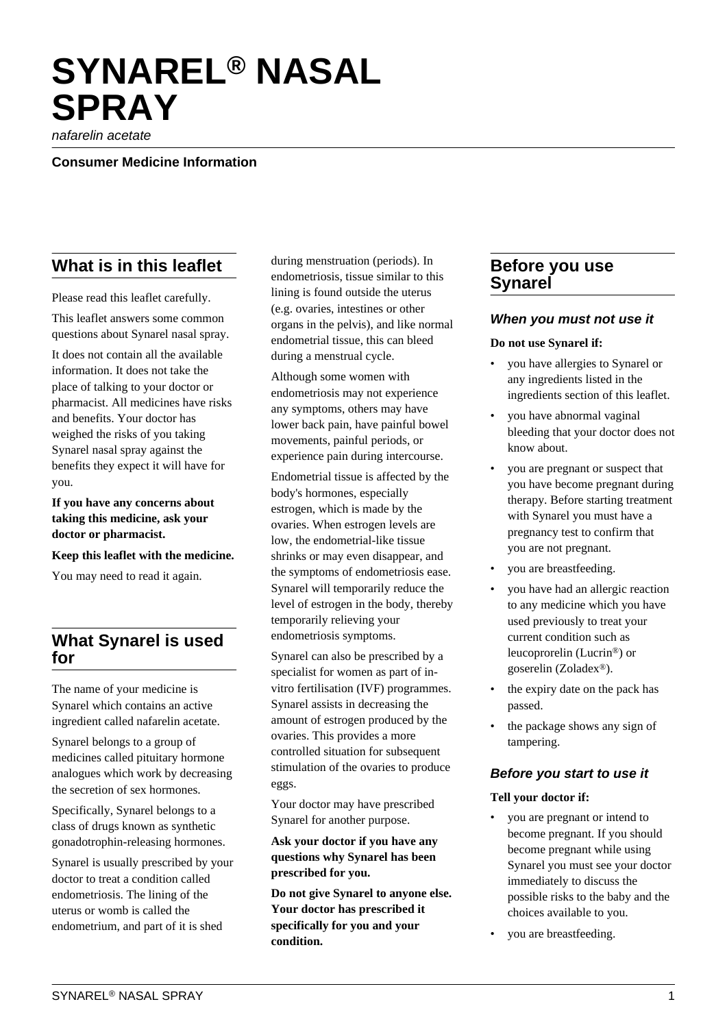# **SYNAREL® NASAL SPRAY**

nafarelin acetate

#### **Consumer Medicine Information**

## **What is in this leaflet**

Please read this leaflet carefully.

This leaflet answers some common questions about Synarel nasal spray.

It does not contain all the available information. It does not take the place of talking to your doctor or pharmacist. All medicines have risks and benefits. Your doctor has weighed the risks of you taking Synarel nasal spray against the benefits they expect it will have for you.

**If you have any concerns about taking this medicine, ask your doctor or pharmacist.**

#### **Keep this leaflet with the medicine.**

You may need to read it again.

## **What Synarel is used for**

The name of your medicine is Synarel which contains an active ingredient called nafarelin acetate.

Synarel belongs to a group of medicines called pituitary hormone analogues which work by decreasing the secretion of sex hormones.

Specifically, Synarel belongs to a class of drugs known as synthetic gonadotrophin-releasing hormones.

Synarel is usually prescribed by your doctor to treat a condition called endometriosis. The lining of the uterus or womb is called the endometrium, and part of it is shed

during menstruation (periods). In endometriosis, tissue similar to this lining is found outside the uterus (e.g. ovaries, intestines or other organs in the pelvis), and like normal endometrial tissue, this can bleed during a menstrual cycle.

Although some women with endometriosis may not experience any symptoms, others may have lower back pain, have painful bowel movements, painful periods, or experience pain during intercourse.

Endometrial tissue is affected by the body's hormones, especially estrogen, which is made by the ovaries. When estrogen levels are low, the endometrial-like tissue shrinks or may even disappear, and the symptoms of endometriosis ease. Synarel will temporarily reduce the level of estrogen in the body, thereby temporarily relieving your endometriosis symptoms.

Synarel can also be prescribed by a specialist for women as part of invitro fertilisation (IVF) programmes. Synarel assists in decreasing the amount of estrogen produced by the ovaries. This provides a more controlled situation for subsequent stimulation of the ovaries to produce eggs.

Your doctor may have prescribed Synarel for another purpose.

**Ask your doctor if you have any questions why Synarel has been prescribed for you.**

**Do not give Synarel to anyone else. Your doctor has prescribed it specifically for you and your condition.**

## **Before you use Synarel**

#### **When you must not use it**

#### **Do not use Synarel if:**

- you have allergies to Synarel or any ingredients listed in the ingredients section of this leaflet.
- you have abnormal vaginal bleeding that your doctor does not know about.
- you are pregnant or suspect that you have become pregnant during therapy. Before starting treatment with Synarel you must have a pregnancy test to confirm that you are not pregnant.
- you are breastfeeding.
- you have had an allergic reaction to any medicine which you have used previously to treat your current condition such as leucoprorelin (Lucrin®) or goserelin (Zoladex®).
- the expiry date on the pack has passed.
- the package shows any sign of tampering.

#### **Before you start to use it**

#### **Tell your doctor if:**

- you are pregnant or intend to become pregnant. If you should become pregnant while using Synarel you must see your doctor immediately to discuss the possible risks to the baby and the choices available to you.
- you are breastfeeding.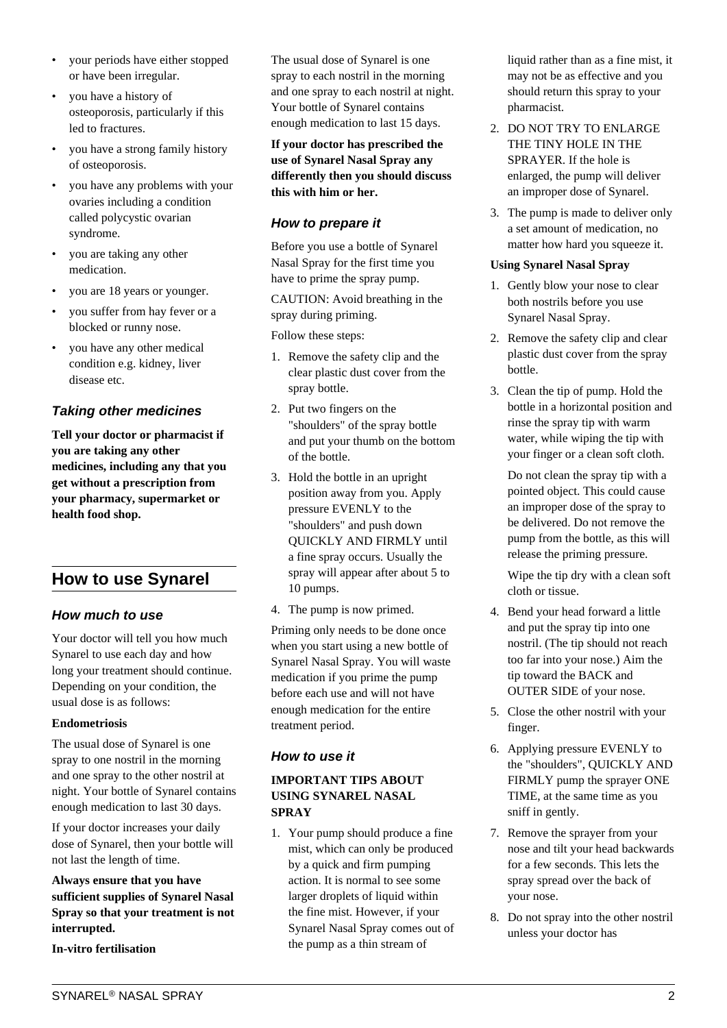- your periods have either stopped or have been irregular.
- you have a history of osteoporosis, particularly if this led to fractures.
- you have a strong family history of osteoporosis.
- you have any problems with your ovaries including a condition called polycystic ovarian syndrome.
- you are taking any other medication.
- you are 18 years or younger.
- you suffer from hay fever or a blocked or runny nose.
- you have any other medical condition e.g. kidney, liver disease etc.

## **Taking other medicines**

**Tell your doctor or pharmacist if you are taking any other medicines, including any that you get without a prescription from your pharmacy, supermarket or health food shop.**

# **How to use Synarel**

## **How much to use**

Your doctor will tell you how much Synarel to use each day and how long your treatment should continue. Depending on your condition, the usual dose is as follows:

#### **Endometriosis**

The usual dose of Synarel is one spray to one nostril in the morning and one spray to the other nostril at night. Your bottle of Synarel contains enough medication to last 30 days.

If your doctor increases your daily dose of Synarel, then your bottle will not last the length of time.

**Always ensure that you have sufficient supplies of Synarel Nasal Spray so that your treatment is not interrupted.**

**In-vitro fertilisation**

The usual dose of Synarel is one spray to each nostril in the morning and one spray to each nostril at night. Your bottle of Synarel contains enough medication to last 15 days.

**If your doctor has prescribed the use of Synarel Nasal Spray any differently then you should discuss this with him or her.**

## **How to prepare it**

Before you use a bottle of Synarel Nasal Spray for the first time you have to prime the spray pump.

CAUTION: Avoid breathing in the spray during priming.

Follow these steps:

- 1. Remove the safety clip and the clear plastic dust cover from the spray bottle.
- 2. Put two fingers on the "shoulders" of the spray bottle and put your thumb on the bottom of the bottle.
- 3. Hold the bottle in an upright position away from you. Apply pressure EVENLY to the "shoulders" and push down QUICKLY AND FIRMLY until a fine spray occurs. Usually the spray will appear after about 5 to 10 pumps.
- 4. The pump is now primed.

Priming only needs to be done once when you start using a new bottle of Synarel Nasal Spray. You will waste medication if you prime the pump before each use and will not have enough medication for the entire treatment period.

## **How to use it**

## **IMPORTANT TIPS ABOUT USING SYNAREL NASAL SPRAY**

1. Your pump should produce a fine mist, which can only be produced by a quick and firm pumping action. It is normal to see some larger droplets of liquid within the fine mist. However, if your Synarel Nasal Spray comes out of the pump as a thin stream of

liquid rather than as a fine mist, it may not be as effective and you should return this spray to your pharmacist.

- 2. DO NOT TRY TO ENLARGE THE TINY HOLE IN THE SPRAYER. If the hole is enlarged, the pump will deliver an improper dose of Synarel.
- 3. The pump is made to deliver only a set amount of medication, no matter how hard you squeeze it.

## **Using Synarel Nasal Spray**

- 1. Gently blow your nose to clear both nostrils before you use Synarel Nasal Spray.
- 2. Remove the safety clip and clear plastic dust cover from the spray bottle.
- 3. Clean the tip of pump. Hold the bottle in a horizontal position and rinse the spray tip with warm water, while wiping the tip with your finger or a clean soft cloth.

 Do not clean the spray tip with a pointed object. This could cause an improper dose of the spray to be delivered. Do not remove the pump from the bottle, as this will release the priming pressure.

 Wipe the tip dry with a clean soft cloth or tissue.

- 4. Bend your head forward a little and put the spray tip into one nostril. (The tip should not reach too far into your nose.) Aim the tip toward the BACK and OUTER SIDE of your nose.
- 5. Close the other nostril with your finger.
- 6. Applying pressure EVENLY to the "shoulders", QUICKLY AND FIRMLY pump the sprayer ONE TIME, at the same time as you sniff in gently.
- 7. Remove the sprayer from your nose and tilt your head backwards for a few seconds. This lets the spray spread over the back of your nose.
- 8. Do not spray into the other nostril unless your doctor has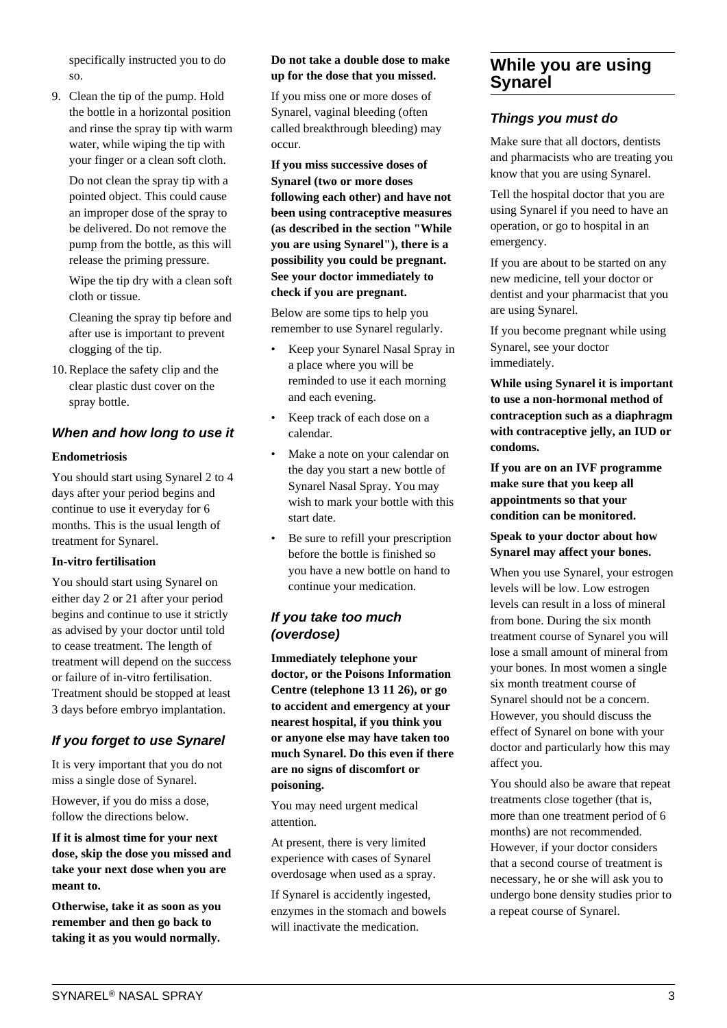specifically instructed you to do so.

9. Clean the tip of the pump. Hold the bottle in a horizontal position and rinse the spray tip with warm water, while wiping the tip with your finger or a clean soft cloth.

 Do not clean the spray tip with a pointed object. This could cause an improper dose of the spray to be delivered. Do not remove the pump from the bottle, as this will release the priming pressure.

 Wipe the tip dry with a clean soft cloth or tissue.

 Cleaning the spray tip before and after use is important to prevent clogging of the tip.

10. Replace the safety clip and the clear plastic dust cover on the spray bottle.

## **When and how long to use it**

#### **Endometriosis**

You should start using Synarel 2 to 4 days after your period begins and continue to use it everyday for 6 months. This is the usual length of treatment for Synarel.

#### **In-vitro fertilisation**

You should start using Synarel on either day 2 or 21 after your period begins and continue to use it strictly as advised by your doctor until told to cease treatment. The length of treatment will depend on the success or failure of in-vitro fertilisation. Treatment should be stopped at least 3 days before embryo implantation.

## **If you forget to use Synarel**

It is very important that you do not miss a single dose of Synarel.

However, if you do miss a dose, follow the directions below.

**If it is almost time for your next dose, skip the dose you missed and take your next dose when you are meant to.**

**Otherwise, take it as soon as you remember and then go back to taking it as you would normally.**

#### **Do not take a double dose to make up for the dose that you missed.**

If you miss one or more doses of Synarel, vaginal bleeding (often called breakthrough bleeding) may occur.

**If you miss successive doses of Synarel (two or more doses following each other) and have not been using contraceptive measures (as described in the section "While you are using Synarel"), there is a possibility you could be pregnant. See your doctor immediately to check if you are pregnant.**

Below are some tips to help you remember to use Synarel regularly.

- Keep your Synarel Nasal Spray in a place where you will be reminded to use it each morning and each evening.
- Keep track of each dose on a calendar.
- Make a note on your calendar on the day you start a new bottle of Synarel Nasal Spray. You may wish to mark your bottle with this start date.
- Be sure to refill your prescription before the bottle is finished so you have a new bottle on hand to continue your medication.

## **If you take too much (overdose)**

**Immediately telephone your doctor, or the Poisons Information Centre (telephone 13 11 26), or go to accident and emergency at your nearest hospital, if you think you or anyone else may have taken too much Synarel. Do this even if there are no signs of discomfort or poisoning.**

You may need urgent medical attention.

At present, there is very limited experience with cases of Synarel overdosage when used as a spray.

If Synarel is accidently ingested, enzymes in the stomach and bowels will inactivate the medication.

## **While you are using Synarel**

## **Things you must do**

Make sure that all doctors, dentists and pharmacists who are treating you know that you are using Synarel.

Tell the hospital doctor that you are using Synarel if you need to have an operation, or go to hospital in an emergency.

If you are about to be started on any new medicine, tell your doctor or dentist and your pharmacist that you are using Synarel.

If you become pregnant while using Synarel, see your doctor immediately.

**While using Synarel it is important to use a non-hormonal method of contraception such as a diaphragm with contraceptive jelly, an IUD or condoms.**

**If you are on an IVF programme make sure that you keep all appointments so that your condition can be monitored.**

#### **Speak to your doctor about how Synarel may affect your bones.**

When you use Synarel, your estrogen levels will be low. Low estrogen levels can result in a loss of mineral from bone. During the six month treatment course of Synarel you will lose a small amount of mineral from your bones. In most women a single six month treatment course of Synarel should not be a concern. However, you should discuss the effect of Synarel on bone with your doctor and particularly how this may affect you.

You should also be aware that repeat treatments close together (that is, more than one treatment period of 6 months) are not recommended. However, if your doctor considers that a second course of treatment is necessary, he or she will ask you to undergo bone density studies prior to a repeat course of Synarel.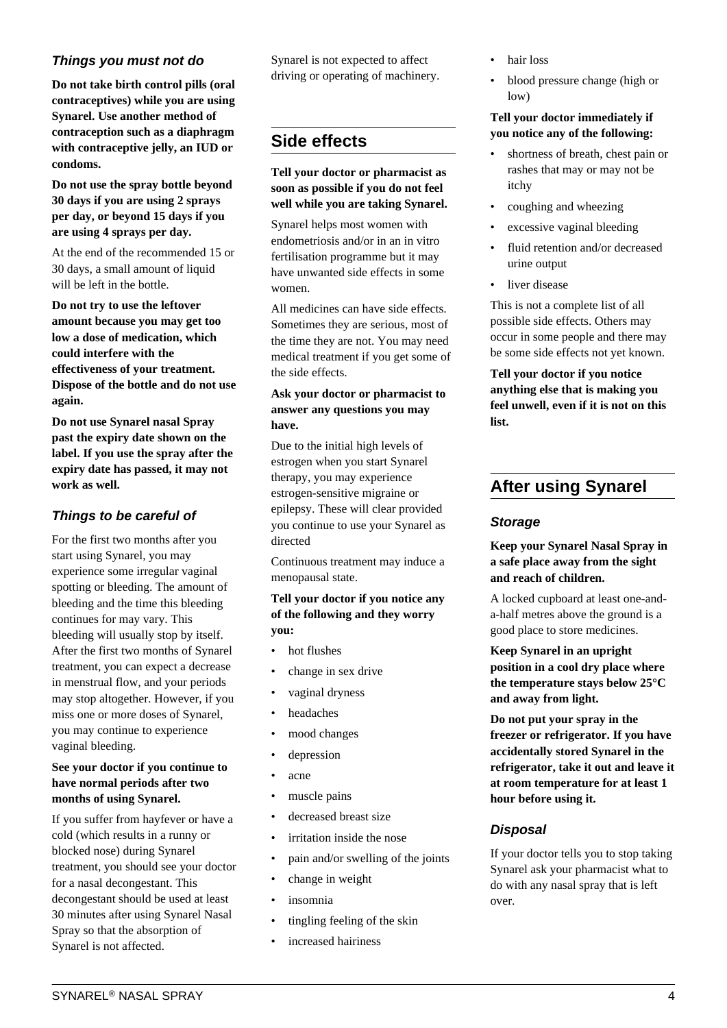## **Things you must not do**

**Do not take birth control pills (oral contraceptives) while you are using Synarel. Use another method of contraception such as a diaphragm with contraceptive jelly, an IUD or condoms.**

**Do not use the spray bottle beyond 30 days if you are using 2 sprays per day, or beyond 15 days if you are using 4 sprays per day.**

At the end of the recommended 15 or 30 days, a small amount of liquid will be left in the bottle.

**Do not try to use the leftover amount because you may get too low a dose of medication, which could interfere with the effectiveness of your treatment. Dispose of the bottle and do not use again.**

**Do not use Synarel nasal Spray past the expiry date shown on the label. If you use the spray after the expiry date has passed, it may not work as well.**

## **Things to be careful of**

For the first two months after you start using Synarel, you may experience some irregular vaginal spotting or bleeding. The amount of bleeding and the time this bleeding continues for may vary. This bleeding will usually stop by itself. After the first two months of Synarel treatment, you can expect a decrease in menstrual flow, and your periods may stop altogether. However, if you miss one or more doses of Synarel, you may continue to experience vaginal bleeding.

#### **See your doctor if you continue to have normal periods after two months of using Synarel.**

If you suffer from hayfever or have a cold (which results in a runny or blocked nose) during Synarel treatment, you should see your doctor for a nasal decongestant. This decongestant should be used at least 30 minutes after using Synarel Nasal Spray so that the absorption of Synarel is not affected.

Synarel is not expected to affect driving or operating of machinery.

# **Side effects**

#### **Tell your doctor or pharmacist as soon as possible if you do not feel well while you are taking Synarel.**

Synarel helps most women with endometriosis and/or in an in vitro fertilisation programme but it may have unwanted side effects in some women.

All medicines can have side effects. Sometimes they are serious, most of the time they are not. You may need medical treatment if you get some of the side effects.

#### **Ask your doctor or pharmacist to answer any questions you may have.**

Due to the initial high levels of estrogen when you start Synarel therapy, you may experience estrogen-sensitive migraine or epilepsy. These will clear provided you continue to use your Synarel as directed

Continuous treatment may induce a menopausal state.

#### **Tell your doctor if you notice any of the following and they worry you:**

- hot flushes
- change in sex drive
- vaginal dryness
- headaches
- mood changes
- depression
- acne
- muscle pains
- decreased breast size
- irritation inside the nose
- pain and/or swelling of the joints
- change in weight
- insomnia
- tingling feeling of the skin
- increased hairiness
- hair loss
- blood pressure change (high or low)

#### **Tell your doctor immediately if you notice any of the following:**

- shortness of breath, chest pain or rashes that may or may not be itchy
- coughing and wheezing
- excessive vaginal bleeding
- fluid retention and/or decreased urine output
- liver disease

This is not a complete list of all possible side effects. Others may occur in some people and there may be some side effects not yet known.

**Tell your doctor if you notice anything else that is making you feel unwell, even if it is not on this list.**

# **After using Synarel**

## **Storage**

#### **Keep your Synarel Nasal Spray in a safe place away from the sight and reach of children.**

A locked cupboard at least one-anda-half metres above the ground is a good place to store medicines.

**Keep Synarel in an upright position in a cool dry place where the temperature stays below 25°C and away from light.**

**Do not put your spray in the freezer or refrigerator. If you have accidentally stored Synarel in the refrigerator, take it out and leave it at room temperature for at least 1 hour before using it.**

## **Disposal**

If your doctor tells you to stop taking Synarel ask your pharmacist what to do with any nasal spray that is left over.